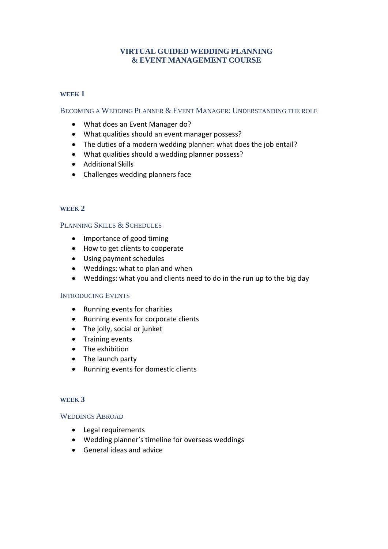# **VIRTUAL GUIDED WEDDING PLANNING & EVENT MANAGEMENT COURSE**

### **WEEK 1**

BECOMING A WEDDING PLANNER & EVENT MANAGER: UNDERSTANDING THE ROLE

- What does an Event Manager do?
- What qualities should an event manager possess?
- The duties of a modern wedding planner: what does the job entail?
- What qualities should a wedding planner possess?
- Additional Skills
- Challenges wedding planners face

### **WEEK 2**

### PLANNING SKILLS & SCHEDULES

- Importance of good timing
- How to get clients to cooperate
- Using payment schedules
- Weddings: what to plan and when
- Weddings: what you and clients need to do in the run up to the big day

#### INTRODUCING EVENTS

- Running events for charities
- Running events for corporate clients
- The jolly, social or junket
- Training events
- The exhibition
- The launch party
- Running events for domestic clients

#### **WEEK 3**

#### WEDDINGS ABROAD

- Legal requirements
- Wedding planner's timeline for overseas weddings
- General ideas and advice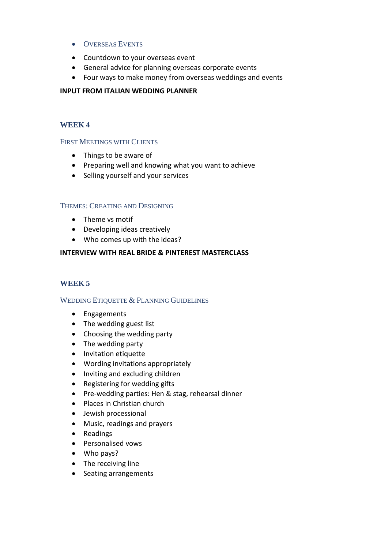- OVERSEAS EVENTS
- Countdown to your overseas event
- General advice for planning overseas corporate events
- Four ways to make money from overseas weddings and events

### **INPUT FROM ITALIAN WEDDING PLANNER**

# **WEEK 4**

# FIRST MEETINGS WITH CLIENTS

- Things to be aware of
- Preparing well and knowing what you want to achieve
- Selling yourself and your services

### THEMES: CREATING AND DESIGNING

- Theme vs motif
- Developing ideas creatively
- Who comes up with the ideas?

### **INTERVIEW WITH REAL BRIDE & PINTEREST MASTERCLASS**

# **WEEK 5**

### WEDDING ETIQUETTE & PLANNING GUIDELINES

- Engagements
- The wedding guest list
- Choosing the wedding party
- The wedding party
- Invitation etiquette
- Wording invitations appropriately
- Inviting and excluding children
- Registering for wedding gifts
- Pre-wedding parties: Hen & stag, rehearsal dinner
- Places in Christian church
- Jewish processional
- Music, readings and prayers
- Readings
- Personalised vows
- Who pays?
- The receiving line
- Seating arrangements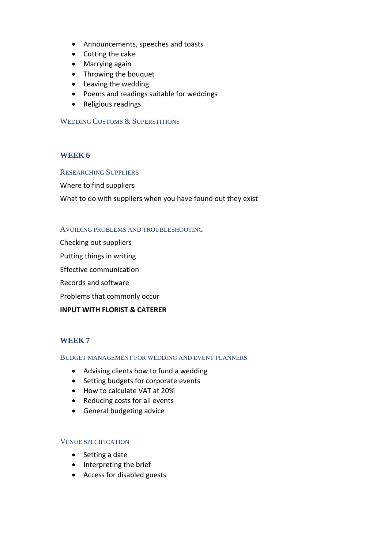- Announcements, speeches and toasts
- Cutting the cake
- Marrying again
- Throwing the bouquet
- Leaving the wedding
- Poems and readings suitable for weddings
- Religious readings

# WEDDING CUSTOMS & SUPERSTITIONS

# **WEEK 6**

### RESEARCHING SUPPLIERS

Where to find suppliers

What to do with suppliers when you have found out they exist

### AVOIDING PROBLEMS AND TROUBLESHOOTING

Checking out suppliers

Putting things in writing

Effective communication

Records and software

Problems that commonly occur

### **INPUT WITH FLORIST & CATERER**

# **WEEK 7**

### BUDGET MANAGEMENT FOR WEDDING AND EVENT PLANNERS

- Advising clients how to fund a wedding
- Setting budgets for corporate events
- How to calculate VAT at 20%
- Reducing costs for all events
- General budgeting advice

### VENUE SPECIFICATION

- Setting a date
- Interpreting the brief
- Access for disabled guests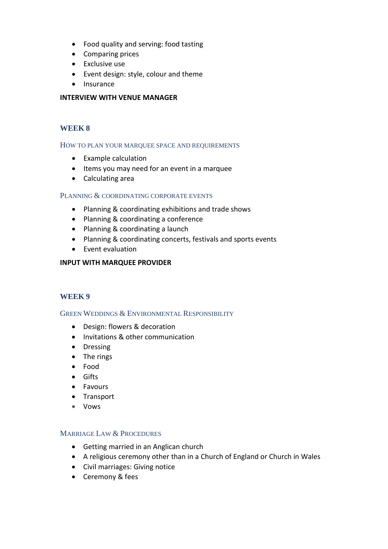- Food quality and serving: food tasting
- Comparing prices
- Exclusive use
- Event design: style, colour and theme
- Insurance

### **INTERVIEW WITH VENUE MANAGER**

# **WEEK 8**

### HOW TO PLAN YOUR MARQUEE SPACE AND REQUIREMENTS

- Example calculation
- Items you may need for an event in a marquee
- Calculating area

# PLANNING & COORDINATING CORPORATE EVENTS

- Planning & coordinating exhibitions and trade shows
- Planning & coordinating a conference
- Planning & coordinating a launch
- Planning & coordinating concerts, festivals and sports events
- Event evaluation

# **INPUT WITH MARQUEE PROVIDER**

# **WEEK 9**

# GREEN WEDDINGS & ENVIRONMENTAL RESPONSIBILITY

- Design: flowers & decoration
- Invitations & other communication
- Dressing
- The rings
- Food
- Gifts
- Favours
- Transport
- Vows

### MARRIAGE LAW & PROCEDURES

- Getting married in an Anglican church
- A religious ceremony other than in a Church of England or Church in Wales
- Civil marriages: Giving notice
- Ceremony & fees